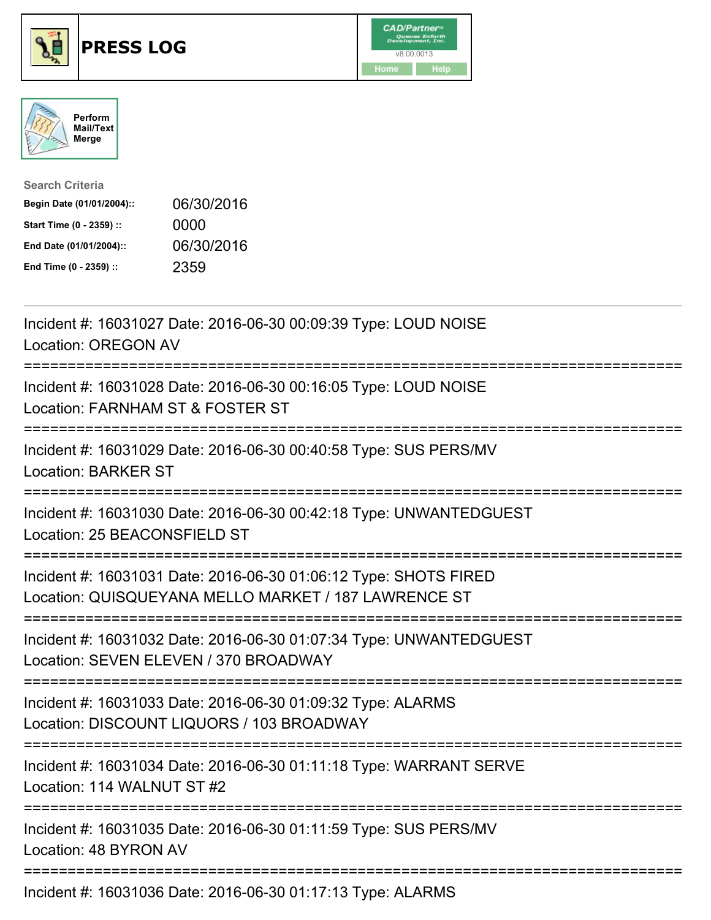





| <b>Search Criteria</b>    |            |
|---------------------------|------------|
| Begin Date (01/01/2004):: | 06/30/2016 |
| Start Time (0 - 2359) ::  | 0000       |
| End Date (01/01/2004)::   | 06/30/2016 |
| End Time (0 - 2359) ::    | 2359       |

| Incident #: 16031027 Date: 2016-06-30 00:09:39 Type: LOUD NOISE<br><b>Location: OREGON AV</b>                                                                      |
|--------------------------------------------------------------------------------------------------------------------------------------------------------------------|
| Incident #: 16031028 Date: 2016-06-30 00:16:05 Type: LOUD NOISE<br>Location: FARNHAM ST & FOSTER ST                                                                |
| Incident #: 16031029 Date: 2016-06-30 00:40:58 Type: SUS PERS/MV<br><b>Location: BARKER ST</b><br>=====================                                            |
| Incident #: 16031030 Date: 2016-06-30 00:42:18 Type: UNWANTEDGUEST<br>Location: 25 BEACONSFIELD ST<br>=========================                                    |
| Incident #: 16031031 Date: 2016-06-30 01:06:12 Type: SHOTS FIRED<br>Location: QUISQUEYANA MELLO MARKET / 187 LAWRENCE ST<br>.------------------------------------- |
| Incident #: 16031032 Date: 2016-06-30 01:07:34 Type: UNWANTEDGUEST<br>Location: SEVEN ELEVEN / 370 BROADWAY                                                        |
| Incident #: 16031033 Date: 2016-06-30 01:09:32 Type: ALARMS<br>Location: DISCOUNT LIQUORS / 103 BROADWAY<br>====================================                   |
| Incident #: 16031034 Date: 2016-06-30 01:11:18 Type: WARRANT SERVE<br>Location: 114 WALNUT ST #2                                                                   |
| Incident #: 16031035 Date: 2016-06-30 01:11:59 Type: SUS PERS/MV<br>Location: 48 BYRON AV                                                                          |
| Incident #: 16031036 Date: 2016-06-30 01:17:13 Type: ALARMS                                                                                                        |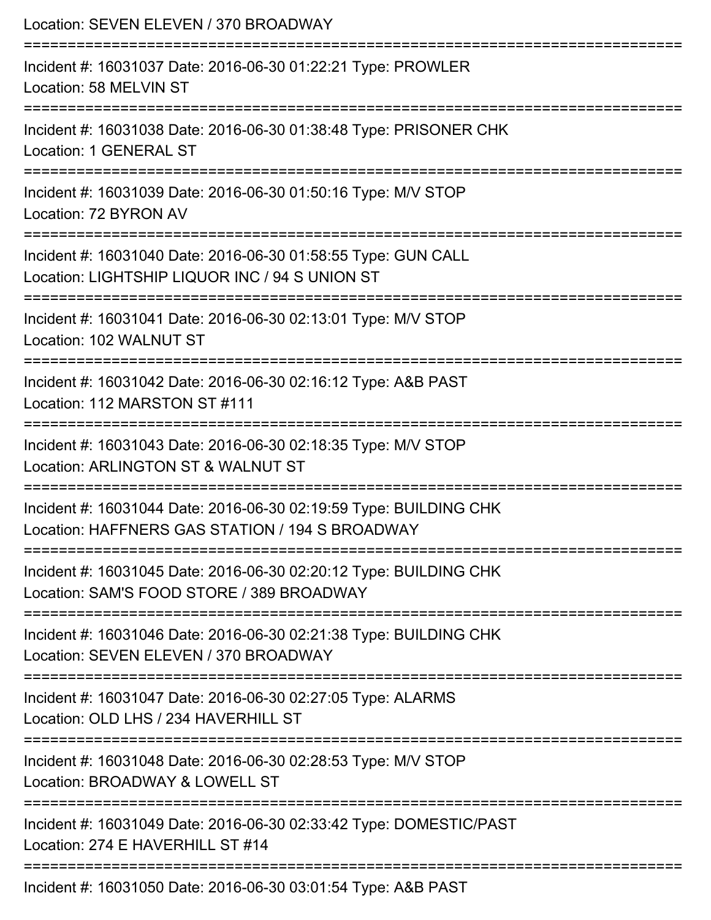| Location: SEVEN ELEVEN / 370 BROADWAY<br>================                                                                           |
|-------------------------------------------------------------------------------------------------------------------------------------|
| Incident #: 16031037 Date: 2016-06-30 01:22:21 Type: PROWLER<br>Location: 58 MELVIN ST                                              |
| Incident #: 16031038 Date: 2016-06-30 01:38:48 Type: PRISONER CHK<br><b>Location: 1 GENERAL ST</b><br>============================= |
| Incident #: 16031039 Date: 2016-06-30 01:50:16 Type: M/V STOP<br>Location: 72 BYRON AV                                              |
| Incident #: 16031040 Date: 2016-06-30 01:58:55 Type: GUN CALL<br>Location: LIGHTSHIP LIQUOR INC / 94 S UNION ST                     |
| Incident #: 16031041 Date: 2016-06-30 02:13:01 Type: M/V STOP<br>Location: 102 WALNUT ST                                            |
| Incident #: 16031042 Date: 2016-06-30 02:16:12 Type: A&B PAST<br>Location: 112 MARSTON ST #111                                      |
| Incident #: 16031043 Date: 2016-06-30 02:18:35 Type: M/V STOP<br>Location: ARLINGTON ST & WALNUT ST                                 |
| Incident #: 16031044 Date: 2016-06-30 02:19:59 Type: BUILDING CHK<br>Location: HAFFNERS GAS STATION / 194 S BROADWAY                |
| Incident #: 16031045 Date: 2016-06-30 02:20:12 Type: BUILDING CHK<br>Location: SAM'S FOOD STORE / 389 BROADWAY                      |
| Incident #: 16031046 Date: 2016-06-30 02:21:38 Type: BUILDING CHK<br>Location: SEVEN ELEVEN / 370 BROADWAY                          |
| Incident #: 16031047 Date: 2016-06-30 02:27:05 Type: ALARMS<br>Location: OLD LHS / 234 HAVERHILL ST                                 |
| Incident #: 16031048 Date: 2016-06-30 02:28:53 Type: M/V STOP<br>Location: BROADWAY & LOWELL ST                                     |
| Incident #: 16031049 Date: 2016-06-30 02:33:42 Type: DOMESTIC/PAST<br>Location: 274 E HAVERHILL ST #14                              |
| Incident #: 16031050 Date: 2016-06-30 03:01:54 Type: A&B PAST                                                                       |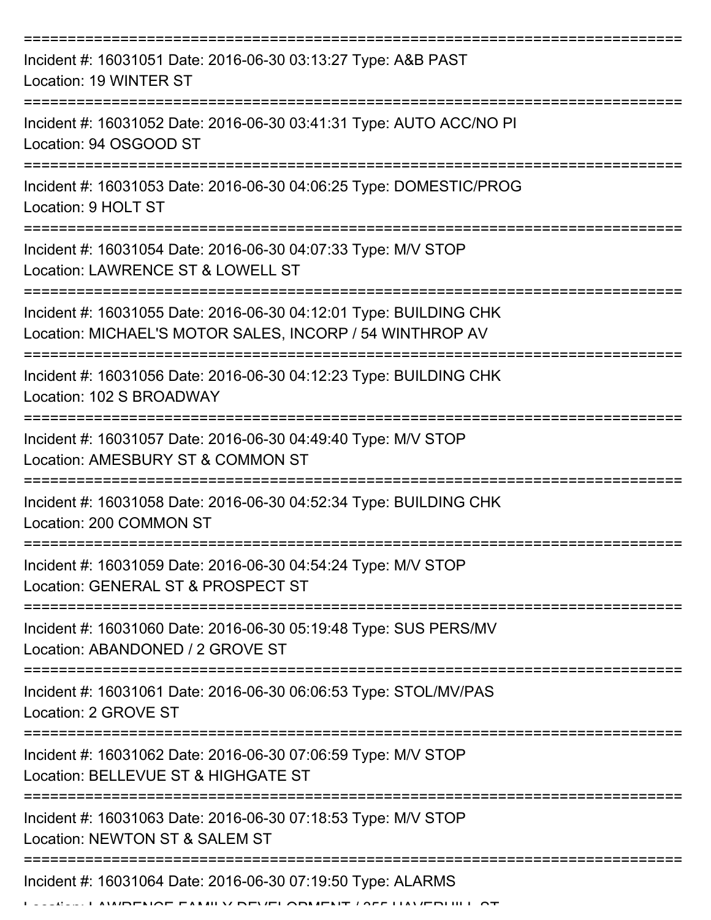| Incident #: 16031051 Date: 2016-06-30 03:13:27 Type: A&B PAST<br>Location: 19 WINTER ST                                                                             |
|---------------------------------------------------------------------------------------------------------------------------------------------------------------------|
| Incident #: 16031052 Date: 2016-06-30 03:41:31 Type: AUTO ACC/NO PI<br>Location: 94 OSGOOD ST                                                                       |
| Incident #: 16031053 Date: 2016-06-30 04:06:25 Type: DOMESTIC/PROG<br>Location: 9 HOLT ST                                                                           |
| Incident #: 16031054 Date: 2016-06-30 04:07:33 Type: M/V STOP<br>Location: LAWRENCE ST & LOWELL ST                                                                  |
| Incident #: 16031055 Date: 2016-06-30 04:12:01 Type: BUILDING CHK<br>Location: MICHAEL'S MOTOR SALES, INCORP / 54 WINTHROP AV<br>================================== |
| ============<br>Incident #: 16031056 Date: 2016-06-30 04:12:23 Type: BUILDING CHK<br>Location: 102 S BROADWAY                                                       |
| Incident #: 16031057 Date: 2016-06-30 04:49:40 Type: M/V STOP<br>Location: AMESBURY ST & COMMON ST                                                                  |
| Incident #: 16031058 Date: 2016-06-30 04:52:34 Type: BUILDING CHK<br>Location: 200 COMMON ST                                                                        |
| Incident #: 16031059 Date: 2016-06-30 04:54:24 Type: M/V STOP<br>Location: GENERAL ST & PROSPECT ST                                                                 |
| Incident #: 16031060 Date: 2016-06-30 05:19:48 Type: SUS PERS/MV<br>Location: ABANDONED / 2 GROVE ST                                                                |
| Incident #: 16031061 Date: 2016-06-30 06:06:53 Type: STOL/MV/PAS<br>Location: 2 GROVE ST                                                                            |
| Incident #: 16031062 Date: 2016-06-30 07:06:59 Type: M/V STOP<br>Location: BELLEVUE ST & HIGHGATE ST                                                                |
| Incident #: 16031063 Date: 2016-06-30 07:18:53 Type: M/V STOP<br>Location: NEWTON ST & SALEM ST                                                                     |
| Incident #: 16031064 Date: 2016-06-30 07:19:50 Type: ALARMS<br>$A \cap B$                                                                                           |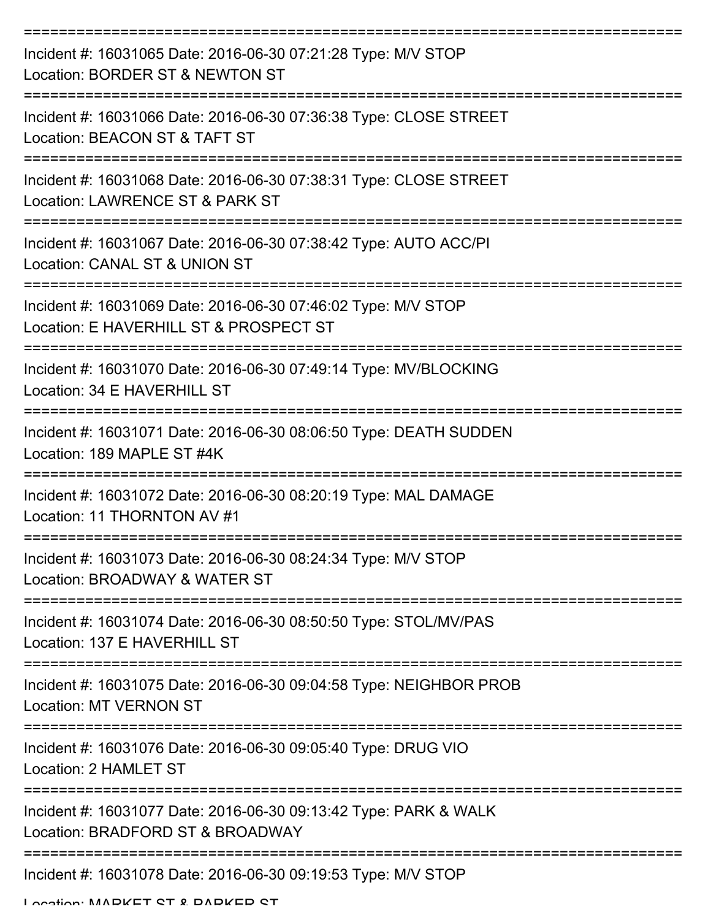| Incident #: 16031065 Date: 2016-06-30 07:21:28 Type: M/V STOP<br>Location: BORDER ST & NEWTON ST        |
|---------------------------------------------------------------------------------------------------------|
| Incident #: 16031066 Date: 2016-06-30 07:36:38 Type: CLOSE STREET<br>Location: BEACON ST & TAFT ST      |
| Incident #: 16031068 Date: 2016-06-30 07:38:31 Type: CLOSE STREET<br>Location: LAWRENCE ST & PARK ST    |
| Incident #: 16031067 Date: 2016-06-30 07:38:42 Type: AUTO ACC/PI<br>Location: CANAL ST & UNION ST       |
| Incident #: 16031069 Date: 2016-06-30 07:46:02 Type: M/V STOP<br>Location: E HAVERHILL ST & PROSPECT ST |
| Incident #: 16031070 Date: 2016-06-30 07:49:14 Type: MV/BLOCKING<br>Location: 34 E HAVERHILL ST         |
| Incident #: 16031071 Date: 2016-06-30 08:06:50 Type: DEATH SUDDEN<br>Location: 189 MAPLE ST #4K         |
| Incident #: 16031072 Date: 2016-06-30 08:20:19 Type: MAL DAMAGE<br>Location: 11 THORNTON AV #1          |
| Incident #: 16031073 Date: 2016-06-30 08:24:34 Type: M/V STOP<br>Location: BROADWAY & WATER ST          |
| Incident #: 16031074 Date: 2016-06-30 08:50:50 Type: STOL/MV/PAS<br>Location: 137 E HAVERHILL ST        |
| Incident #: 16031075 Date: 2016-06-30 09:04:58 Type: NEIGHBOR PROB<br><b>Location: MT VERNON ST</b>     |
| Incident #: 16031076 Date: 2016-06-30 09:05:40 Type: DRUG VIO<br>Location: 2 HAMLET ST                  |
| Incident #: 16031077 Date: 2016-06-30 09:13:42 Type: PARK & WALK<br>Location: BRADFORD ST & BROADWAY    |
| Incident #: 16031078 Date: 2016-06-30 09:19:53 Type: M/V STOP                                           |

Location: MADKET CT & DADKED CT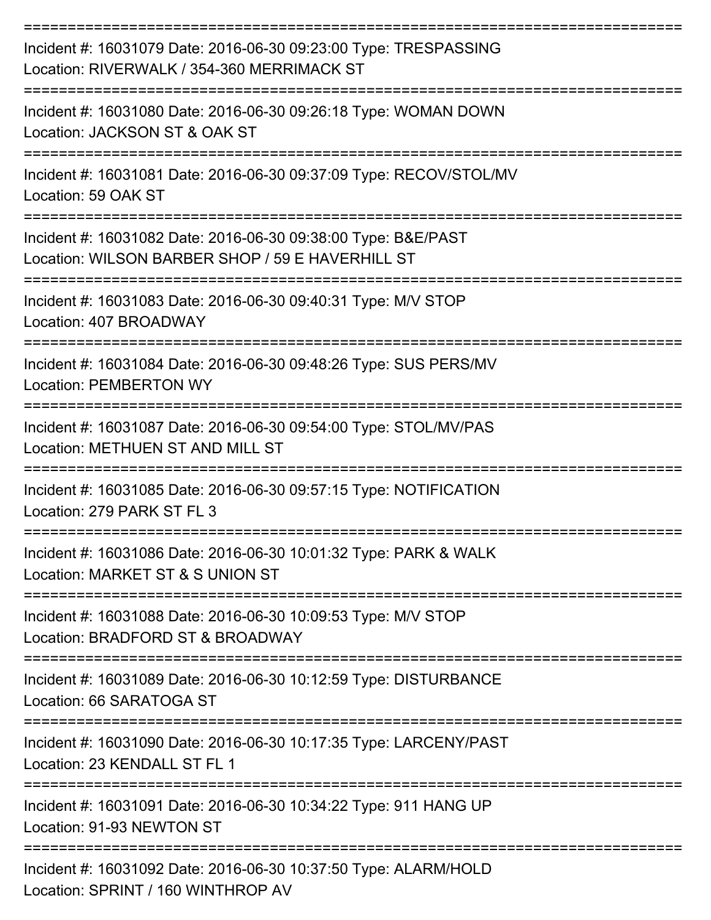| Incident #: 16031079 Date: 2016-06-30 09:23:00 Type: TRESPASSING<br>Location: RIVERWALK / 354-360 MERRIMACK ST    |
|-------------------------------------------------------------------------------------------------------------------|
| Incident #: 16031080 Date: 2016-06-30 09:26:18 Type: WOMAN DOWN<br>Location: JACKSON ST & OAK ST                  |
| Incident #: 16031081 Date: 2016-06-30 09:37:09 Type: RECOV/STOL/MV<br>Location: 59 OAK ST                         |
| Incident #: 16031082 Date: 2016-06-30 09:38:00 Type: B&E/PAST<br>Location: WILSON BARBER SHOP / 59 E HAVERHILL ST |
| Incident #: 16031083 Date: 2016-06-30 09:40:31 Type: M/V STOP<br>Location: 407 BROADWAY                           |
| Incident #: 16031084 Date: 2016-06-30 09:48:26 Type: SUS PERS/MV<br><b>Location: PEMBERTON WY</b>                 |
| Incident #: 16031087 Date: 2016-06-30 09:54:00 Type: STOL/MV/PAS<br>Location: METHUEN ST AND MILL ST              |
| Incident #: 16031085 Date: 2016-06-30 09:57:15 Type: NOTIFICATION<br>Location: 279 PARK ST FL 3                   |
| Incident #: 16031086 Date: 2016-06-30 10:01:32 Type: PARK & WALK<br>Location: MARKET ST & S UNION ST              |
| Incident #: 16031088 Date: 2016-06-30 10:09:53 Type: M/V STOP<br>Location: BRADFORD ST & BROADWAY                 |
| Incident #: 16031089 Date: 2016-06-30 10:12:59 Type: DISTURBANCE<br>Location: 66 SARATOGA ST                      |
| Incident #: 16031090 Date: 2016-06-30 10:17:35 Type: LARCENY/PAST<br>Location: 23 KENDALL ST FL 1                 |
| Incident #: 16031091 Date: 2016-06-30 10:34:22 Type: 911 HANG UP<br>Location: 91-93 NEWTON ST                     |
| Incident #: 16031092 Date: 2016-06-30 10:37:50 Type: ALARM/HOLD<br>Location: SPRINT / 160 WINTHROP AV             |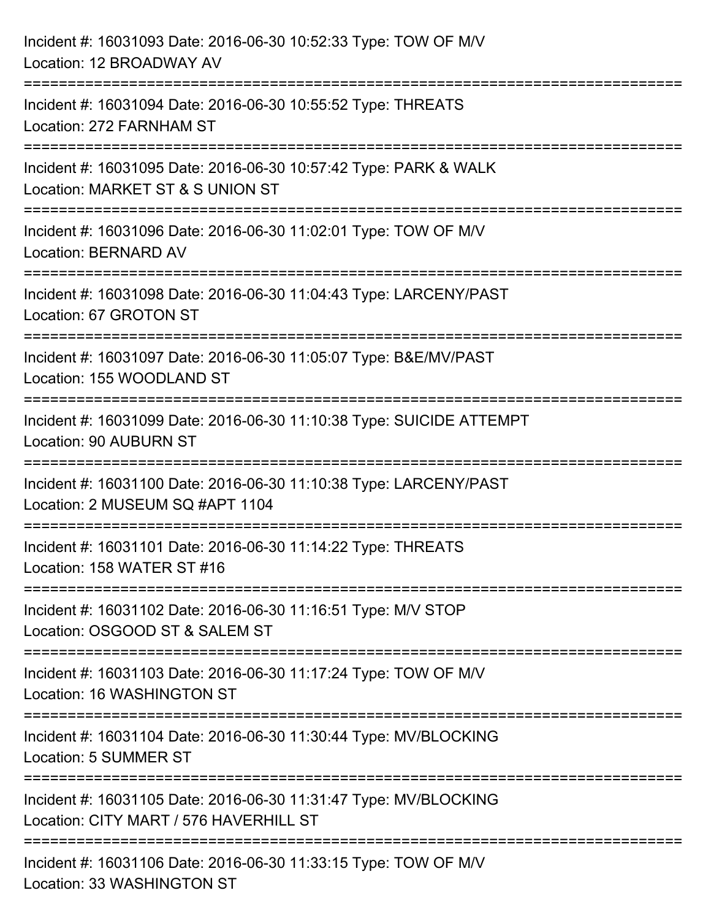| Incident #: 16031093 Date: 2016-06-30 10:52:33 Type: TOW OF M/V<br>Location: 12 BROADWAY AV                                        |
|------------------------------------------------------------------------------------------------------------------------------------|
| ======================================<br>Incident #: 16031094 Date: 2016-06-30 10:55:52 Type: THREATS<br>Location: 272 FARNHAM ST |
| ==================<br>Incident #: 16031095 Date: 2016-06-30 10:57:42 Type: PARK & WALK<br>Location: MARKET ST & S UNION ST         |
| Incident #: 16031096 Date: 2016-06-30 11:02:01 Type: TOW OF M/V<br><b>Location: BERNARD AV</b>                                     |
| Incident #: 16031098 Date: 2016-06-30 11:04:43 Type: LARCENY/PAST<br>Location: 67 GROTON ST                                        |
| Incident #: 16031097 Date: 2016-06-30 11:05:07 Type: B&E/MV/PAST<br>Location: 155 WOODLAND ST                                      |
| Incident #: 16031099 Date: 2016-06-30 11:10:38 Type: SUICIDE ATTEMPT<br>Location: 90 AUBURN ST                                     |
| Incident #: 16031100 Date: 2016-06-30 11:10:38 Type: LARCENY/PAST<br>Location: 2 MUSEUM SQ #APT 1104                               |
| Incident #: 16031101 Date: 2016-06-30 11:14:22 Type: THREATS<br>Location: 158 WATER ST #16                                         |
| Incident #: 16031102 Date: 2016-06-30 11:16:51 Type: M/V STOP<br>Location: OSGOOD ST & SALEM ST                                    |
| Incident #: 16031103 Date: 2016-06-30 11:17:24 Type: TOW OF M/V<br>Location: 16 WASHINGTON ST                                      |
| Incident #: 16031104 Date: 2016-06-30 11:30:44 Type: MV/BLOCKING<br>Location: 5 SUMMER ST                                          |
| Incident #: 16031105 Date: 2016-06-30 11:31:47 Type: MV/BLOCKING<br>Location: CITY MART / 576 HAVERHILL ST                         |
| Incident #: 16031106 Date: 2016-06-30 11:33:15 Type: TOW OF M/V<br>Location: 33 WASHINGTON ST                                      |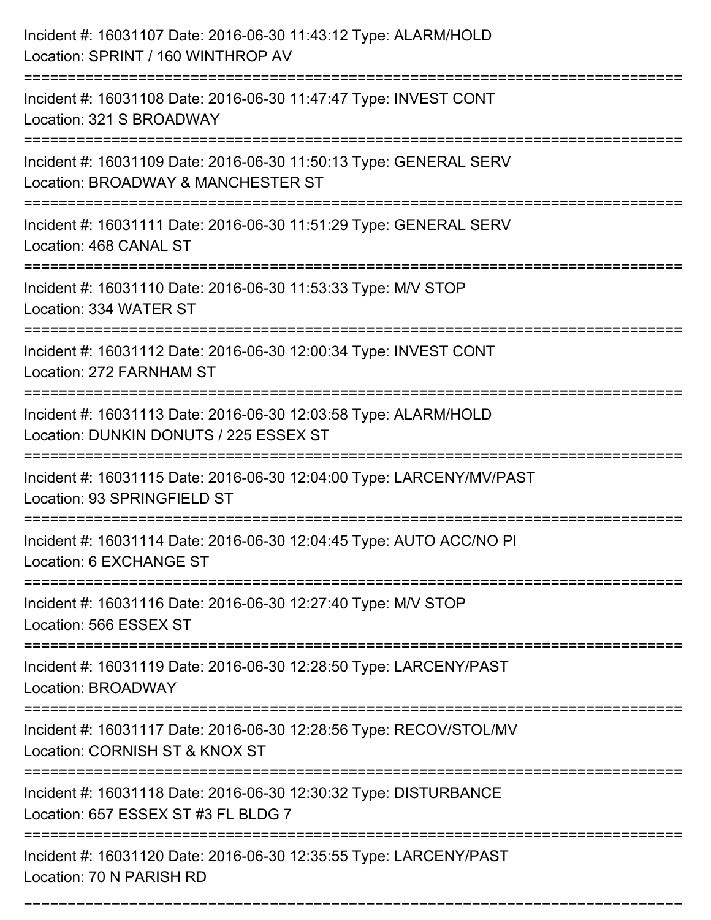| Incident #: 16031107 Date: 2016-06-30 11:43:12 Type: ALARM/HOLD<br>Location: SPRINT / 160 WINTHROP AV                            |
|----------------------------------------------------------------------------------------------------------------------------------|
| Incident #: 16031108 Date: 2016-06-30 11:47:47 Type: INVEST CONT<br>Location: 321 S BROADWAY                                     |
| Incident #: 16031109 Date: 2016-06-30 11:50:13 Type: GENERAL SERV<br>Location: BROADWAY & MANCHESTER ST<br>:==================== |
| Incident #: 16031111 Date: 2016-06-30 11:51:29 Type: GENERAL SERV<br>Location: 468 CANAL ST                                      |
| Incident #: 16031110 Date: 2016-06-30 11:53:33 Type: M/V STOP<br>Location: 334 WATER ST                                          |
| Incident #: 16031112 Date: 2016-06-30 12:00:34 Type: INVEST CONT<br>Location: 272 FARNHAM ST                                     |
| Incident #: 16031113 Date: 2016-06-30 12:03:58 Type: ALARM/HOLD<br>Location: DUNKIN DONUTS / 225 ESSEX ST                        |
| Incident #: 16031115 Date: 2016-06-30 12:04:00 Type: LARCENY/MV/PAST<br>Location: 93 SPRINGFIELD ST                              |
| Incident #: 16031114 Date: 2016-06-30 12:04:45 Type: AUTO ACC/NO PI<br>Location: 6 EXCHANGE ST                                   |
| Incident #: 16031116 Date: 2016-06-30 12:27:40 Type: M/V STOP<br>Location: 566 ESSEX ST                                          |
| Incident #: 16031119 Date: 2016-06-30 12:28:50 Type: LARCENY/PAST<br>Location: BROADWAY                                          |
| Incident #: 16031117 Date: 2016-06-30 12:28:56 Type: RECOV/STOL/MV<br>Location: CORNISH ST & KNOX ST                             |
| Incident #: 16031118 Date: 2016-06-30 12:30:32 Type: DISTURBANCE<br>Location: 657 ESSEX ST #3 FL BLDG 7                          |
| Incident #: 16031120 Date: 2016-06-30 12:35:55 Type: LARCENY/PAST<br>Location: 70 N PARISH RD                                    |

===========================================================================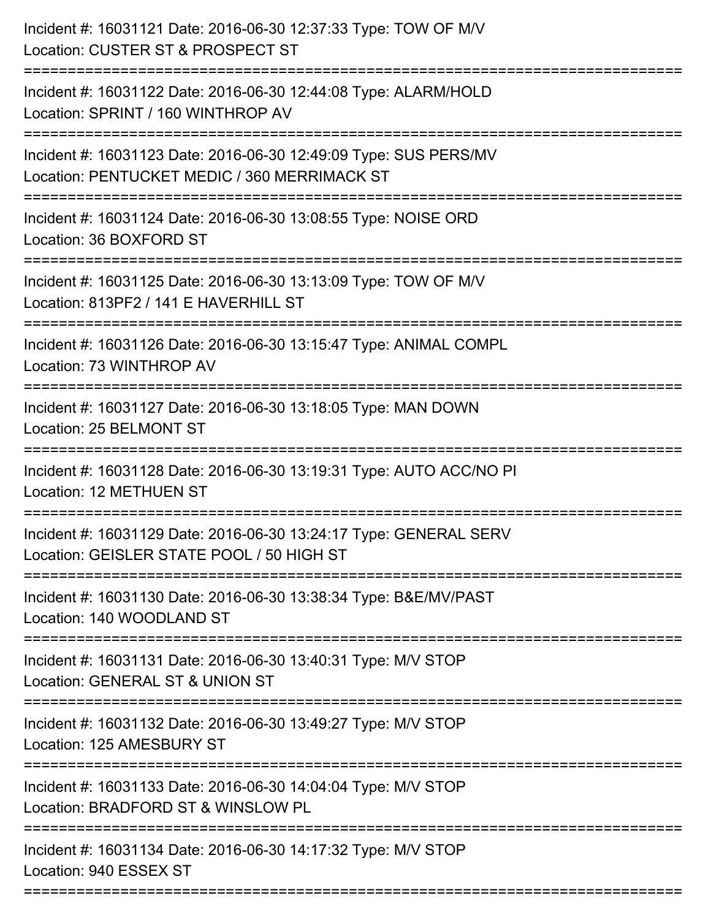| Incident #: 16031121 Date: 2016-06-30 12:37:33 Type: TOW OF M/V<br>Location: CUSTER ST & PROSPECT ST                                                                      |
|---------------------------------------------------------------------------------------------------------------------------------------------------------------------------|
| Incident #: 16031122 Date: 2016-06-30 12:44:08 Type: ALARM/HOLD<br>Location: SPRINT / 160 WINTHROP AV                                                                     |
| Incident #: 16031123 Date: 2016-06-30 12:49:09 Type: SUS PERS/MV<br>Location: PENTUCKET MEDIC / 360 MERRIMACK ST                                                          |
| Incident #: 16031124 Date: 2016-06-30 13:08:55 Type: NOISE ORD<br>Location: 36 BOXFORD ST                                                                                 |
| Incident #: 16031125 Date: 2016-06-30 13:13:09 Type: TOW OF M/V<br>Location: 813PF2 / 141 E HAVERHILL ST<br>----------------------                                        |
| Incident #: 16031126 Date: 2016-06-30 13:15:47 Type: ANIMAL COMPL<br>Location: 73 WINTHROP AV                                                                             |
| Incident #: 16031127 Date: 2016-06-30 13:18:05 Type: MAN DOWN<br>Location: 25 BELMONT ST                                                                                  |
| Incident #: 16031128 Date: 2016-06-30 13:19:31 Type: AUTO ACC/NO PI<br>Location: 12 METHUEN ST                                                                            |
| Incident #: 16031129 Date: 2016-06-30 13:24:17 Type: GENERAL SERV<br>Location: GEISLER STATE POOL / 50 HIGH ST                                                            |
| Incident #: 16031130 Date: 2016-06-30 13:38:34 Type: B&E/MV/PAST<br>Location: 140 WOODLAND ST                                                                             |
| Incident #: 16031131 Date: 2016-06-30 13:40:31 Type: M/V STOP<br>Location: GENERAL ST & UNION ST                                                                          |
| Incident #: 16031132 Date: 2016-06-30 13:49:27 Type: M/V STOP<br>Location: 125 AMESBURY ST                                                                                |
| :===================================<br>--------------------------<br>Incident #: 16031133 Date: 2016-06-30 14:04:04 Type: M/V STOP<br>Location: BRADFORD ST & WINSLOW PL |
| Incident #: 16031134 Date: 2016-06-30 14:17:32 Type: M/V STOP<br>Location: 940 ESSEX ST                                                                                   |
|                                                                                                                                                                           |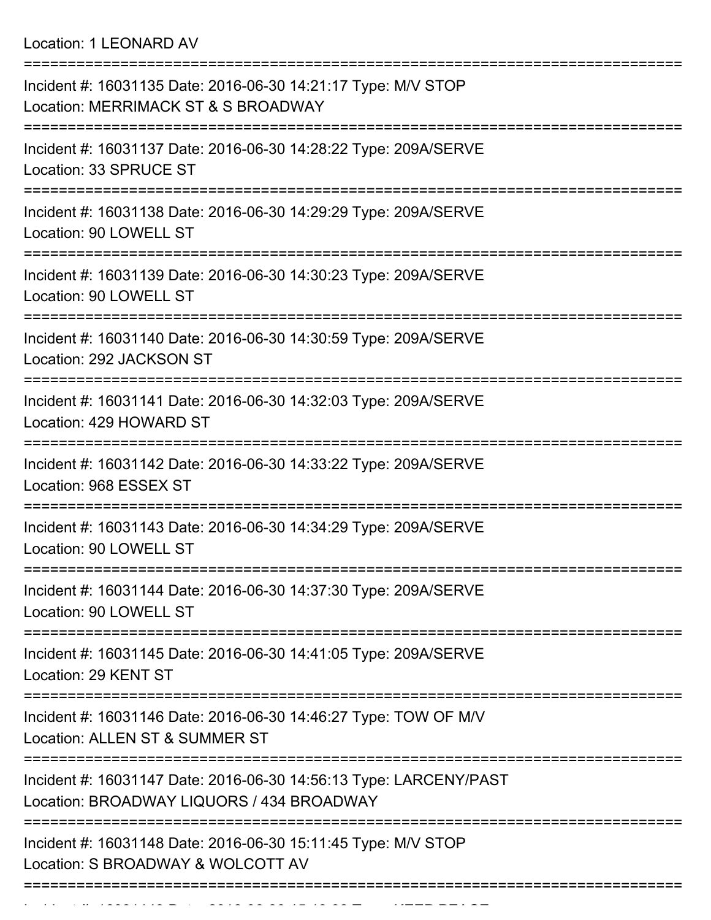Location: 1 LEONARD AV

| Incident #: 16031135 Date: 2016-06-30 14:21:17 Type: M/V STOP<br>Location: MERRIMACK ST & S BROADWAY           |
|----------------------------------------------------------------------------------------------------------------|
| Incident #: 16031137 Date: 2016-06-30 14:28:22 Type: 209A/SERVE<br>Location: 33 SPRUCE ST                      |
| Incident #: 16031138 Date: 2016-06-30 14:29:29 Type: 209A/SERVE<br>Location: 90 LOWELL ST                      |
| Incident #: 16031139 Date: 2016-06-30 14:30:23 Type: 209A/SERVE<br>Location: 90 LOWELL ST                      |
| Incident #: 16031140 Date: 2016-06-30 14:30:59 Type: 209A/SERVE<br>Location: 292 JACKSON ST                    |
| Incident #: 16031141 Date: 2016-06-30 14:32:03 Type: 209A/SERVE<br>Location: 429 HOWARD ST                     |
| Incident #: 16031142 Date: 2016-06-30 14:33:22 Type: 209A/SERVE<br>Location: 968 ESSEX ST                      |
| Incident #: 16031143 Date: 2016-06-30 14:34:29 Type: 209A/SERVE<br>Location: 90 LOWELL ST                      |
| Incident #: 16031144 Date: 2016-06-30 14:37:30 Type: 209A/SERVE<br>Location: 90 LOWELL ST                      |
| Incident #: 16031145 Date: 2016-06-30 14:41:05 Type: 209A/SERVE<br>Location: 29 KENT ST                        |
| Incident #: 16031146 Date: 2016-06-30 14:46:27 Type: TOW OF M/V<br>Location: ALLEN ST & SUMMER ST              |
| Incident #: 16031147 Date: 2016-06-30 14:56:13 Type: LARCENY/PAST<br>Location: BROADWAY LIQUORS / 434 BROADWAY |
| Incident #: 16031148 Date: 2016-06-30 15:11:45 Type: M/V STOP<br>Location: S BROADWAY & WOLCOTT AV             |
|                                                                                                                |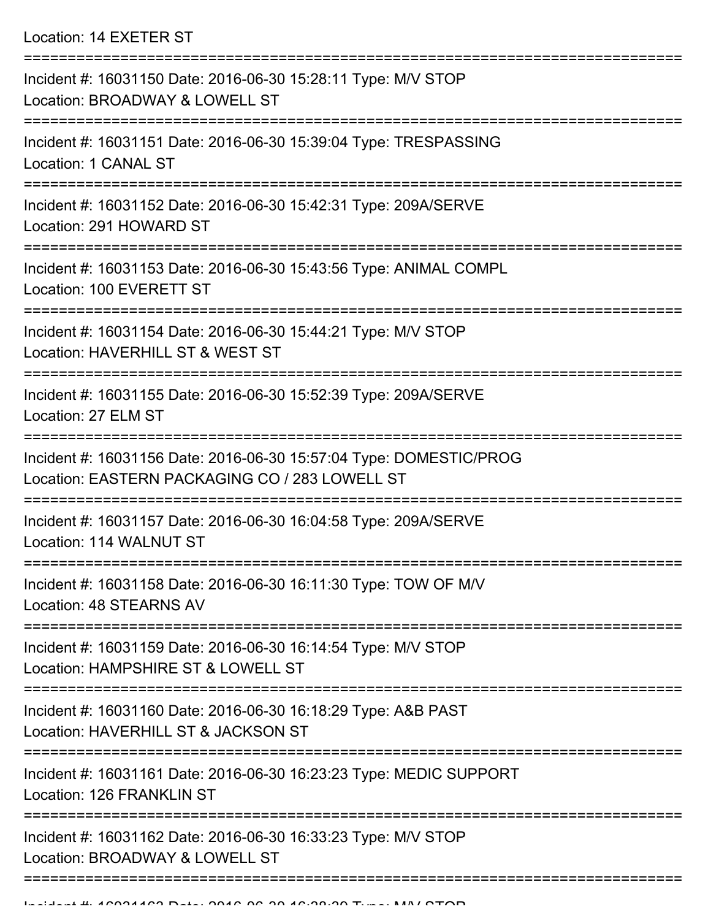Location: 14 EXETER ST

| Incident #: 16031150 Date: 2016-06-30 15:28:11 Type: M/V STOP<br>Location: BROADWAY & LOWELL ST                      |
|----------------------------------------------------------------------------------------------------------------------|
| Incident #: 16031151 Date: 2016-06-30 15:39:04 Type: TRESPASSING<br>Location: 1 CANAL ST                             |
| Incident #: 16031152 Date: 2016-06-30 15:42:31 Type: 209A/SERVE<br>Location: 291 HOWARD ST                           |
| Incident #: 16031153 Date: 2016-06-30 15:43:56 Type: ANIMAL COMPL<br>Location: 100 EVERETT ST                        |
| Incident #: 16031154 Date: 2016-06-30 15:44:21 Type: M/V STOP<br>Location: HAVERHILL ST & WEST ST                    |
| Incident #: 16031155 Date: 2016-06-30 15:52:39 Type: 209A/SERVE<br>Location: 27 ELM ST                               |
| Incident #: 16031156 Date: 2016-06-30 15:57:04 Type: DOMESTIC/PROG<br>Location: EASTERN PACKAGING CO / 283 LOWELL ST |
| Incident #: 16031157 Date: 2016-06-30 16:04:58 Type: 209A/SERVE<br>Location: 114 WALNUT ST                           |
| Incident #: 16031158 Date: 2016-06-30 16:11:30 Type: TOW OF M/V<br>Location: 48 STEARNS AV                           |
| Incident #: 16031159 Date: 2016-06-30 16:14:54 Type: M/V STOP<br>Location: HAMPSHIRE ST & LOWELL ST                  |
| Incident #: 16031160 Date: 2016-06-30 16:18:29 Type: A&B PAST<br>Location: HAVERHILL ST & JACKSON ST                 |
| Incident #: 16031161 Date: 2016-06-30 16:23:23 Type: MEDIC SUPPORT<br>Location: 126 FRANKLIN ST                      |
| Incident #: 16031162 Date: 2016-06-30 16:33:23 Type: M/V STOP<br>Location: BROADWAY & LOWELL ST                      |
|                                                                                                                      |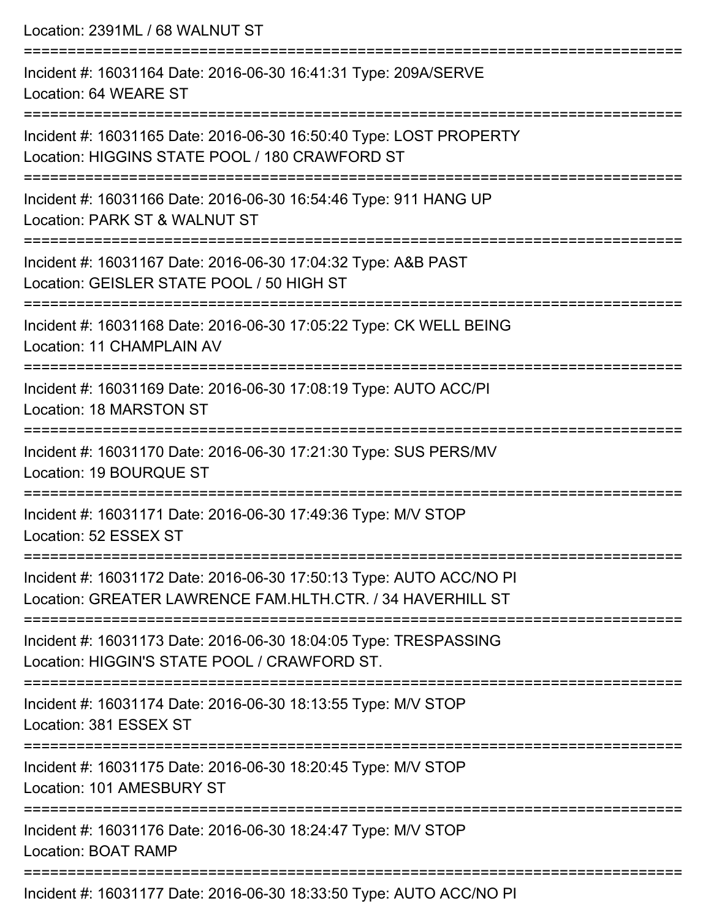| Location: 2391ML / 68 WALNUT ST                                                                                                             |
|---------------------------------------------------------------------------------------------------------------------------------------------|
| Incident #: 16031164 Date: 2016-06-30 16:41:31 Type: 209A/SERVE<br>Location: 64 WEARE ST                                                    |
| Incident #: 16031165 Date: 2016-06-30 16:50:40 Type: LOST PROPERTY<br>Location: HIGGINS STATE POOL / 180 CRAWFORD ST<br>=================== |
| Incident #: 16031166 Date: 2016-06-30 16:54:46 Type: 911 HANG UP<br>Location: PARK ST & WALNUT ST                                           |
| Incident #: 16031167 Date: 2016-06-30 17:04:32 Type: A&B PAST<br>Location: GEISLER STATE POOL / 50 HIGH ST<br>===============               |
| Incident #: 16031168 Date: 2016-06-30 17:05:22 Type: CK WELL BEING<br>Location: 11 CHAMPLAIN AV                                             |
| Incident #: 16031169 Date: 2016-06-30 17:08:19 Type: AUTO ACC/PI<br><b>Location: 18 MARSTON ST</b>                                          |
| Incident #: 16031170 Date: 2016-06-30 17:21:30 Type: SUS PERS/MV<br>Location: 19 BOURQUE ST                                                 |
| Incident #: 16031171 Date: 2016-06-30 17:49:36 Type: M/V STOP<br>Location: 52 ESSEX ST                                                      |
| Incident #: 16031172 Date: 2016-06-30 17:50:13 Type: AUTO ACC/NO PI<br>Location: GREATER LAWRENCE FAM.HLTH.CTR. / 34 HAVERHILL ST           |
| Incident #: 16031173 Date: 2016-06-30 18:04:05 Type: TRESPASSING<br>Location: HIGGIN'S STATE POOL / CRAWFORD ST.                            |
| Incident #: 16031174 Date: 2016-06-30 18:13:55 Type: M/V STOP<br>Location: 381 ESSEX ST                                                     |
| Incident #: 16031175 Date: 2016-06-30 18:20:45 Type: M/V STOP<br>Location: 101 AMESBURY ST                                                  |
| Incident #: 16031176 Date: 2016-06-30 18:24:47 Type: M/V STOP<br><b>Location: BOAT RAMP</b>                                                 |
|                                                                                                                                             |

Incident #: 16031177 Date: 2016-06-30 18:33:50 Type: AUTO ACC/NO PI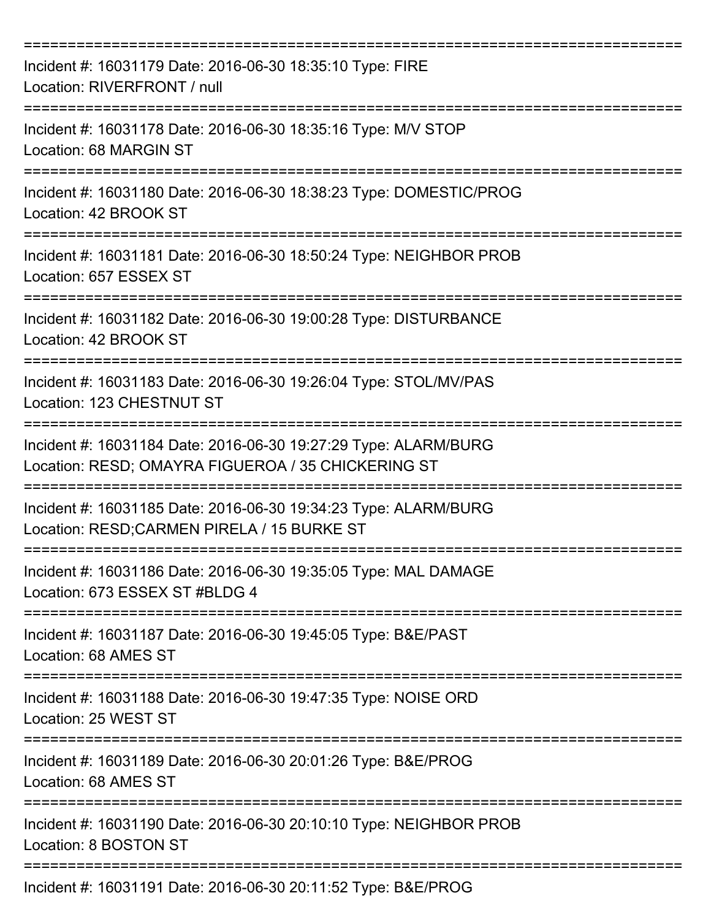| Incident #: 16031179 Date: 2016-06-30 18:35:10 Type: FIRE<br>Location: RIVERFRONT / null                              |
|-----------------------------------------------------------------------------------------------------------------------|
| Incident #: 16031178 Date: 2016-06-30 18:35:16 Type: M/V STOP<br>Location: 68 MARGIN ST                               |
| Incident #: 16031180 Date: 2016-06-30 18:38:23 Type: DOMESTIC/PROG<br>Location: 42 BROOK ST                           |
| Incident #: 16031181 Date: 2016-06-30 18:50:24 Type: NEIGHBOR PROB<br>Location: 657 ESSEX ST                          |
| Incident #: 16031182 Date: 2016-06-30 19:00:28 Type: DISTURBANCE<br>Location: 42 BROOK ST                             |
| Incident #: 16031183 Date: 2016-06-30 19:26:04 Type: STOL/MV/PAS<br>Location: 123 CHESTNUT ST                         |
| Incident #: 16031184 Date: 2016-06-30 19:27:29 Type: ALARM/BURG<br>Location: RESD; OMAYRA FIGUEROA / 35 CHICKERING ST |
| Incident #: 16031185 Date: 2016-06-30 19:34:23 Type: ALARM/BURG<br>Location: RESD;CARMEN PIRELA / 15 BURKE ST         |
| Incident #: 16031186 Date: 2016-06-30 19:35:05 Type: MAL DAMAGE<br>Location: 673 ESSEX ST #BLDG 4                     |
| Incident #: 16031187 Date: 2016-06-30 19:45:05 Type: B&E/PAST<br>Location: 68 AMES ST                                 |
| Incident #: 16031188 Date: 2016-06-30 19:47:35 Type: NOISE ORD<br>Location: 25 WEST ST                                |
| Incident #: 16031189 Date: 2016-06-30 20:01:26 Type: B&E/PROG<br>Location: 68 AMES ST                                 |
| Incident #: 16031190 Date: 2016-06-30 20:10:10 Type: NEIGHBOR PROB<br>Location: 8 BOSTON ST                           |
| Incident #: 16031191 Date: 2016-06-30 20:11:52 Type: B&E/PROG                                                         |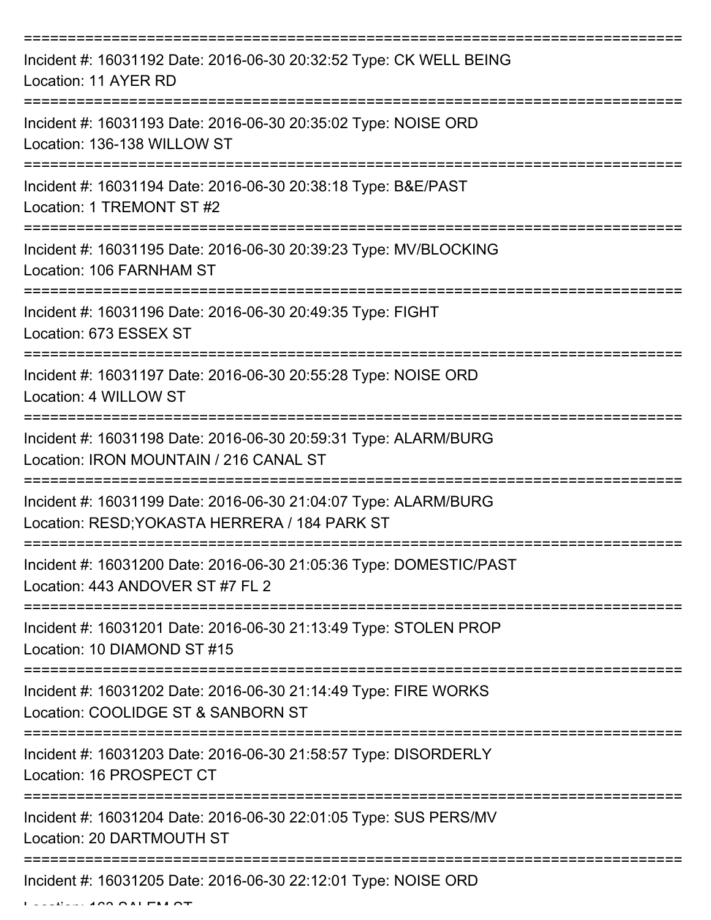| Incident #: 16031192 Date: 2016-06-30 20:32:52 Type: CK WELL BEING<br>Location: 11 AYER RD                       |
|------------------------------------------------------------------------------------------------------------------|
| Incident #: 16031193 Date: 2016-06-30 20:35:02 Type: NOISE ORD<br>Location: 136-138 WILLOW ST                    |
| Incident #: 16031194 Date: 2016-06-30 20:38:18 Type: B&E/PAST<br>Location: 1 TREMONT ST #2                       |
| Incident #: 16031195 Date: 2016-06-30 20:39:23 Type: MV/BLOCKING<br>Location: 106 FARNHAM ST                     |
| Incident #: 16031196 Date: 2016-06-30 20:49:35 Type: FIGHT<br>Location: 673 ESSEX ST                             |
| Incident #: 16031197 Date: 2016-06-30 20:55:28 Type: NOISE ORD<br>Location: 4 WILLOW ST                          |
| Incident #: 16031198 Date: 2016-06-30 20:59:31 Type: ALARM/BURG<br>Location: IRON MOUNTAIN / 216 CANAL ST        |
| Incident #: 16031199 Date: 2016-06-30 21:04:07 Type: ALARM/BURG<br>Location: RESD; YOKASTA HERRERA / 184 PARK ST |
| Incident #: 16031200 Date: 2016-06-30 21:05:36 Type: DOMESTIC/PAST<br>Location: 443 ANDOVER ST #7 FL 2           |
| Incident #: 16031201 Date: 2016-06-30 21:13:49 Type: STOLEN PROP<br>Location: 10 DIAMOND ST #15                  |
| Incident #: 16031202 Date: 2016-06-30 21:14:49 Type: FIRE WORKS<br>Location: COOLIDGE ST & SANBORN ST            |
| Incident #: 16031203 Date: 2016-06-30 21:58:57 Type: DISORDERLY<br>Location: 16 PROSPECT CT                      |
| Incident #: 16031204 Date: 2016-06-30 22:01:05 Type: SUS PERS/MV<br>Location: 20 DARTMOUTH ST                    |
| Incident #: 16031205 Date: 2016-06-30 22:12:01 Type: NOISE ORD                                                   |

 $L = L$   $\frac{1}{2}$   $\frac{1}{2}$   $\frac{1}{2}$   $\frac{1}{2}$   $\frac{1}{2}$   $\frac{1}{2}$   $\frac{1}{2}$   $\frac{1}{2}$   $\frac{1}{2}$   $\frac{1}{2}$   $\frac{1}{2}$   $\frac{1}{2}$   $\frac{1}{2}$   $\frac{1}{2}$   $\frac{1}{2}$   $\frac{1}{2}$   $\frac{1}{2}$   $\frac{1}{2}$   $\frac{1}{2}$   $\frac{1}{2}$   $\frac{1}{2}$   $\frac{1$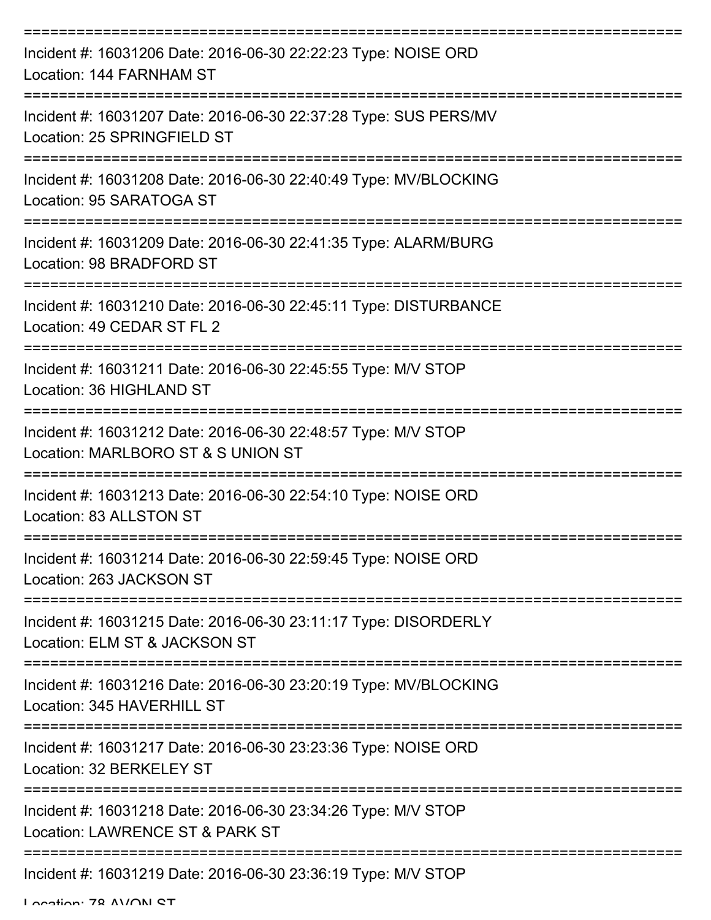| Incident #: 16031206 Date: 2016-06-30 22:22:23 Type: NOISE ORD<br>Location: 144 FARNHAM ST          |
|-----------------------------------------------------------------------------------------------------|
| Incident #: 16031207 Date: 2016-06-30 22:37:28 Type: SUS PERS/MV<br>Location: 25 SPRINGFIELD ST     |
| Incident #: 16031208 Date: 2016-06-30 22:40:49 Type: MV/BLOCKING<br>Location: 95 SARATOGA ST        |
| Incident #: 16031209 Date: 2016-06-30 22:41:35 Type: ALARM/BURG<br>Location: 98 BRADFORD ST         |
| Incident #: 16031210 Date: 2016-06-30 22:45:11 Type: DISTURBANCE<br>Location: 49 CEDAR ST FL 2      |
| Incident #: 16031211 Date: 2016-06-30 22:45:55 Type: M/V STOP<br>Location: 36 HIGHLAND ST           |
| Incident #: 16031212 Date: 2016-06-30 22:48:57 Type: M/V STOP<br>Location: MARLBORO ST & S UNION ST |
| Incident #: 16031213 Date: 2016-06-30 22:54:10 Type: NOISE ORD<br>Location: 83 ALLSTON ST           |
| Incident #: 16031214 Date: 2016-06-30 22:59:45 Type: NOISE ORD<br>Location: 263 JACKSON ST          |
| Incident #: 16031215 Date: 2016-06-30 23:11:17 Type: DISORDERLY<br>Location: ELM ST & JACKSON ST    |
| Incident #: 16031216 Date: 2016-06-30 23:20:19 Type: MV/BLOCKING<br>Location: 345 HAVERHILL ST      |
| Incident #: 16031217 Date: 2016-06-30 23:23:36 Type: NOISE ORD<br>Location: 32 BERKELEY ST          |
| Incident #: 16031218 Date: 2016-06-30 23:34:26 Type: M/V STOP<br>Location: LAWRENCE ST & PARK ST    |
| Incident #: 16031219 Date: 2016-06-30 23:36:19 Type: M/V STOP                                       |